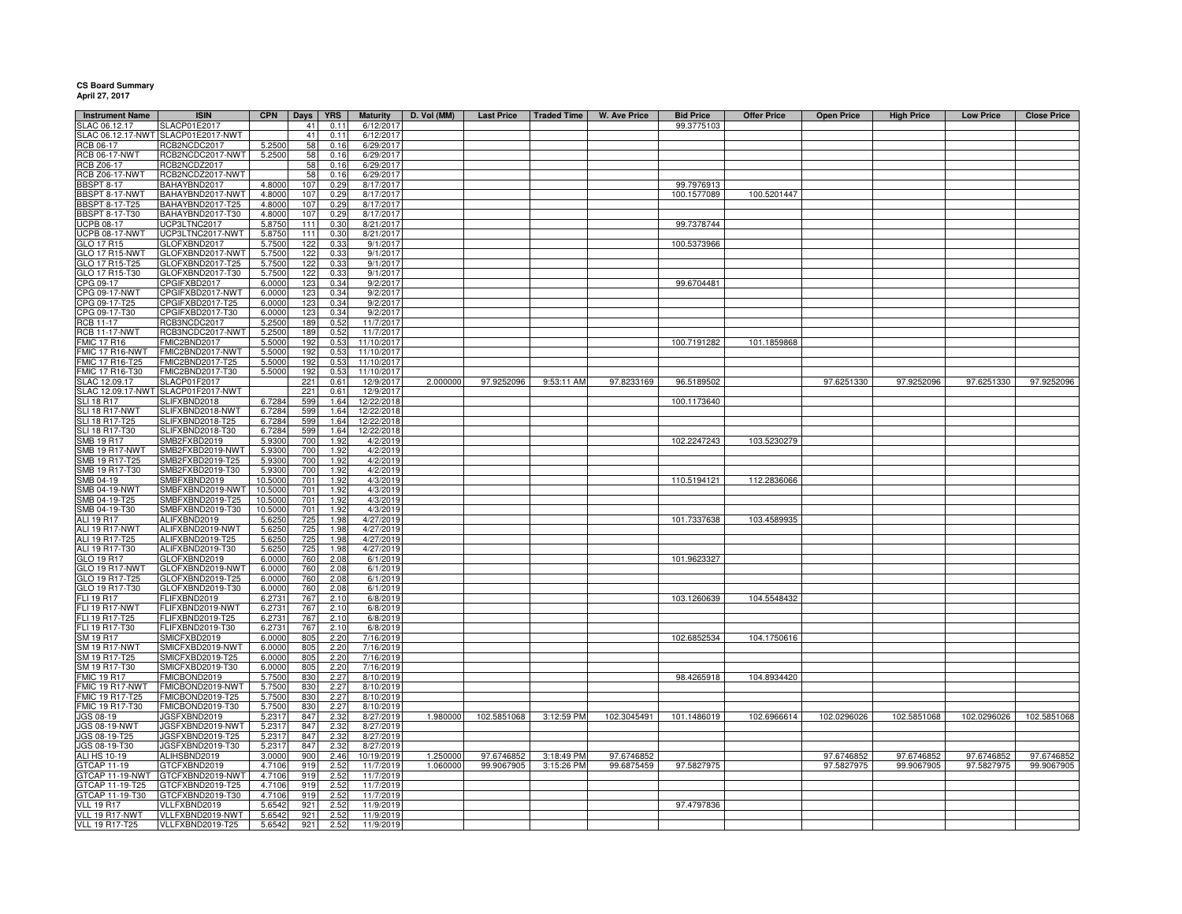## **CS Board Summary April 27, 2017**

| <b>Instrument Name</b> | <b>ISIN</b>                        | <b>CPN</b> | Days | <b>YRS</b> | <b>Maturity</b> | D. Vol (MM) | <b>Last Price</b> | <b>Traded Time</b> | W. Ave Price | <b>Bid Price</b> | <b>Offer Price</b> | <b>Open Price</b> | <b>High Price</b> | <b>Low Price</b> | <b>Close Price</b> |
|------------------------|------------------------------------|------------|------|------------|-----------------|-------------|-------------------|--------------------|--------------|------------------|--------------------|-------------------|-------------------|------------------|--------------------|
| LAC 06.12.17           | <b>LACP01E2017</b>                 |            | 41   | 0.11       | 6/12/201        |             |                   |                    |              | 99.3775103       |                    |                   |                   |                  |                    |
| LAC 06.12.17-NWT       | SLACP01E2017-NWT                   |            | 41   | 0.11       | 6/12/2017       |             |                   |                    |              |                  |                    |                   |                   |                  |                    |
| <b>RCB 06-17</b>       | RCB2NCDC2017                       | 5.250      | 58   | 0.16       | 6/29/2017       |             |                   |                    |              |                  |                    |                   |                   |                  |                    |
| <b>RCB 06-17-NWT</b>   | RCB2NCDC2017-NWT                   | 5.2500     | 58   | 0.16       | 6/29/2017       |             |                   |                    |              |                  |                    |                   |                   |                  |                    |
| RCB Z06-17             | RCB2NCDZ2017                       |            | 58   | 0.16       | 6/29/2017       |             |                   |                    |              |                  |                    |                   |                   |                  |                    |
| <b>RCB Z06-17-NWT</b>  | RCB2NCDZ2017-NWT                   |            | 58   | 0.16       | 6/29/2017       |             |                   |                    |              |                  |                    |                   |                   |                  |                    |
| <b>BBSPT 8-17</b>      | BAHAYBND2017                       | 4.8000     | 107  | 0.29       | 8/17/2017       |             |                   |                    |              | 99.7976913       |                    |                   |                   |                  |                    |
| BBSPT 8-17-NWT         | BAHAYBND2017-NWT                   | 4.8000     | 107  | 0.29       | 8/17/2017       |             |                   |                    |              | 100.1577089      | 100.5201447        |                   |                   |                  |                    |
| <b>BBSPT 8-17-T25</b>  | BAHAYBND2017-T25                   | 4.8000     | 107  | 0.29       | 8/17/2017       |             |                   |                    |              |                  |                    |                   |                   |                  |                    |
| <b>BBSPT 8-17-T30</b>  | BAHAYBND2017-T30                   | 4.8000     | 107  | 0.29       | 8/17/2017       |             |                   |                    |              |                  |                    |                   |                   |                  |                    |
| <b>UCPB 08-17</b>      | UCP3LTNC2017                       | 5.8750     | 111  | 0.30       | 8/21/2017       |             |                   |                    |              | 99.7378744       |                    |                   |                   |                  |                    |
| <b>UCPB 08-17-NWT</b>  | UCP3LTNC2017-NWT                   | 5.8750     | 111  | 0.30       | 8/21/2017       |             |                   |                    |              |                  |                    |                   |                   |                  |                    |
| GLO 17 R15             | GLOFXBND2017                       | 5.7500     | 122  | 0.33       | 9/1/2017        |             |                   |                    |              |                  |                    |                   |                   |                  |                    |
|                        |                                    |            |      |            |                 |             |                   |                    |              | 100.5373966      |                    |                   |                   |                  |                    |
| GLO 17 R15-NWT         | GLOFXBND2017-NWT                   | 5.7500     | 122  | 0.33       | 9/1/2017        |             |                   |                    |              |                  |                    |                   |                   |                  |                    |
| GLO 17 R15-T25         | GLOFXBND2017-T25                   | 5.7500     | 122  | 0.33       | 9/1/2017        |             |                   |                    |              |                  |                    |                   |                   |                  |                    |
| GLO 17 R15-T30         | GLOFXBND2017-T30                   | 5.7500     | 122  | 0.33       | 9/1/2017        |             |                   |                    |              |                  |                    |                   |                   |                  |                    |
| CPG 09-17              | CPGIFXBD2017                       | 6.0000     | 123  | 0.34       | 9/2/2017        |             |                   |                    |              | 99.6704481       |                    |                   |                   |                  |                    |
| CPG 09-17-NWT          | CPGIFXBD2017-NWT                   | 6.0000     | 123  | 0.34       | 9/2/2017        |             |                   |                    |              |                  |                    |                   |                   |                  |                    |
| CPG 09-17-T25          | CPGIFXBD2017-T25                   | 6.0000     | 123  | 0.34       | 9/2/2017        |             |                   |                    |              |                  |                    |                   |                   |                  |                    |
| CPG 09-17-T30          | CPGIFXBD2017-T30                   | 6.0000     | 123  | 0.34       | 9/2/2017        |             |                   |                    |              |                  |                    |                   |                   |                  |                    |
| <b>RCB 11-17</b>       | RCB3NCDC2017                       | 5.2500     | 189  | 0.52       | 11/7/2017       |             |                   |                    |              |                  |                    |                   |                   |                  |                    |
| <b>RCB 11-17-NWT</b>   | RCB3NCDC2017-NWT                   | 5.2500     | 189  | 0.52       | 11/7/2017       |             |                   |                    |              |                  |                    |                   |                   |                  |                    |
| <b>FMIC 17 R16</b>     | FMIC2BND2017                       | 5.5000     | 192  | 0.53       | 11/10/2017      |             |                   |                    |              | 100.7191282      | 101.1859868        |                   |                   |                  |                    |
| FMIC 17 R16-NWT        | FMIC2BND2017-NWT                   | 5.5000     | 192  | 0.53       | 11/10/2017      |             |                   |                    |              |                  |                    |                   |                   |                  |                    |
| FMIC 17 R16-T25        | FMIC2BND2017-T25                   | 5.5000     | 192  | 0.53       | 11/10/2017      |             |                   |                    |              |                  |                    |                   |                   |                  |                    |
| FMIC 17 R16-T30        | FMIC2BND2017-T30                   | 5.5000     | 192  | 0.53       | 11/10/2017      |             |                   |                    |              |                  |                    |                   |                   |                  |                    |
| SLAC 12.09.17          | SLACP01F2017                       |            | 221  | 0.61       | 12/9/2017       | 2.000000    | 97.9252096        | 9:53:11 AM         | 97.8233169   | 96.5189502       |                    | 97.6251330        | 97.9252096        | 97.6251330       | 97.9252096         |
|                        | SLAC 12.09.17-NWT SLACP01F2017-NWT |            | 221  | 0.61       | 12/9/2017       |             |                   |                    |              |                  |                    |                   |                   |                  |                    |
| <b>SLI 18 R17</b>      | SLIFXBND2018                       | 6.7284     | 599  | 1.64       |                 |             |                   |                    |              | 100.1173640      |                    |                   |                   |                  |                    |
|                        | SLIFXBND2018-NWT                   |            |      |            | 12/22/2018      |             |                   |                    |              |                  |                    |                   |                   |                  |                    |
| <b>SLI 18 R17-NWT</b>  |                                    | 6.7284     | 599  | 1.64       | 12/22/2018      |             |                   |                    |              |                  |                    |                   |                   |                  |                    |
| SLI 18 R17-T25         | SLIFXBND2018-T25                   | 6.7284     | 599  | 1.64       | 12/22/2018      |             |                   |                    |              |                  |                    |                   |                   |                  |                    |
| SLI 18 R17-T30         | SLIFXBND2018-T30                   | 6.7284     | 599  | 1.64       | 12/22/2018      |             |                   |                    |              |                  |                    |                   |                   |                  |                    |
| SMB 19 R17             | SMB2FXBD2019                       | 5.930      | 700  | 1.92       | 4/2/2019        |             |                   |                    |              | 102.2247243      | 103.5230279        |                   |                   |                  |                    |
| SMB 19 R17-NWT         | SMB2FXBD2019-NWT                   | 5.930      | 700  | 1.92       | 4/2/2019        |             |                   |                    |              |                  |                    |                   |                   |                  |                    |
| SMB 19 R17-T25         | SMB2FXBD2019-T25                   | 5.930      | 700  | 1.92       | 4/2/2019        |             |                   |                    |              |                  |                    |                   |                   |                  |                    |
| SMB 19 R17-T30         | SMB2FXBD2019-T30                   | 5.930      | 700  | 1.92       | 4/2/201         |             |                   |                    |              |                  |                    |                   |                   |                  |                    |
| SMB 04-19              | SMBFXBND2019                       | 10.500     | 701  | 1.92       | 4/3/2019        |             |                   |                    |              | 110.5194121      | 112.2836066        |                   |                   |                  |                    |
| SMB 04-19-NWT          | SMBFXBND2019-NWT                   | 10.500     | 701  | 1.92       | 4/3/201         |             |                   |                    |              |                  |                    |                   |                   |                  |                    |
| MB 04-19-T25           | SMBFXBND2019-T25                   | 10.500     | 701  | 1.92       | 4/3/2019        |             |                   |                    |              |                  |                    |                   |                   |                  |                    |
| SMB 04-19-T30          | MBFXBND2019-T30                    | 10.500     | 701  | 1.92       | 4/3/2019        |             |                   |                    |              |                  |                    |                   |                   |                  |                    |
| <b>ALI 19 R17</b>      | ALIFXBND2019                       | 5.625      | 725  | 1.98       | 4/27/2019       |             |                   |                    |              | 101.7337638      | 103.4589935        |                   |                   |                  |                    |
| ALI 19 R17-NWT         | ALIFXBND2019-NWT                   | 5.6250     | 725  | 1.98       | 4/27/2019       |             |                   |                    |              |                  |                    |                   |                   |                  |                    |
| ALI 19 R17-T25         | ALIFXBND2019-T25                   | 5.625      | 725  | 1.98       | 4/27/2019       |             |                   |                    |              |                  |                    |                   |                   |                  |                    |
| ALI 19 R17-T30         | ALIFXBND2019-T30                   | 5.625      | 725  | 1.98       | 4/27/2019       |             |                   |                    |              |                  |                    |                   |                   |                  |                    |
| GLO 19 R17             | GLOFXBND2019                       | 6.0000     | 760  | 2.08       | 6/1/2019        |             |                   |                    |              | 101.9623327      |                    |                   |                   |                  |                    |
| <b>GLO 19 R17-NWT</b>  | GLOFXBND2019-NWT                   | 6.0000     | 760  | 2.08       | 6/1/2019        |             |                   |                    |              |                  |                    |                   |                   |                  |                    |
|                        |                                    |            |      | 2.08       |                 |             |                   |                    |              |                  |                    |                   |                   |                  |                    |
| GLO 19 R17-T25         | GLOFXBND2019-T25                   | 6.0000     | 760  |            | 6/1/2019        |             |                   |                    |              |                  |                    |                   |                   |                  |                    |
| GLO 19 R17-T30         | GLOFXBND2019-T30                   | 6.0000     | 760  | 2.08       | 6/1/2019        |             |                   |                    |              |                  |                    |                   |                   |                  |                    |
| FLI 19 R17             | FLIFXBND2019                       | 6.2731     | 767  | 2.10       | 6/8/2019        |             |                   |                    |              | 103.1260639      | 104.5548432        |                   |                   |                  |                    |
| <b>FLI 19 R17-NWT</b>  | FLIFXBND2019-NWT                   | 6.2731     | 767  | 2.10       | 6/8/2019        |             |                   |                    |              |                  |                    |                   |                   |                  |                    |
| FLI 19 R17-T25         | FLIFXBND2019-T25                   | 6.2731     | 767  | 2.10       | 6/8/2019        |             |                   |                    |              |                  |                    |                   |                   |                  |                    |
| FLI 19 R17-T30         | FLIFXBND2019-T30                   | 6.2731     | 767  | 2.10       | 6/8/2019        |             |                   |                    |              |                  |                    |                   |                   |                  |                    |
| SM 19 R17              | MICFXBD2019                        | 6.000      | 805  | 2.20       | 7/16/2019       |             |                   |                    |              | 102.6852534      | 104.1750616        |                   |                   |                  |                    |
| SM 19 R17-NWT          | MICFXBD2019-NWT                    | 6.0000     | 805  | 2.20       | 7/16/2019       |             |                   |                    |              |                  |                    |                   |                   |                  |                    |
| SM 19 R17-T25          | MICFXBD2019-T25                    | 6.0000     | 805  | 2.20       | 7/16/2019       |             |                   |                    |              |                  |                    |                   |                   |                  |                    |
| SM 19 R17-T30          | MICFXBD2019-T30                    | 6.0000     | 805  | 2.20       | 7/16/2019       |             |                   |                    |              |                  |                    |                   |                   |                  |                    |
| MIC 19 R17             | MICBOND2019                        | 5.7500     | 830  | 2.27       | 8/10/2019       |             |                   |                    |              | 98.4265918       | 104.8934420        |                   |                   |                  |                    |
| FMIC 19 R17-NWT        | FMICBOND2019-NWT                   | 5.7500     | 830  | 2.27       | 8/10/2019       |             |                   |                    |              |                  |                    |                   |                   |                  |                    |
| FMIC 19 R17-T25        | FMICBOND2019-T25                   | 5.7500     | 830  | 2.27       | 8/10/2019       |             |                   |                    |              |                  |                    |                   |                   |                  |                    |
| FMIC 19 R17-T30        | FMICBOND2019-T30                   | 5.7500     | 830  | 2.27       | 8/10/2019       |             |                   |                    |              |                  |                    |                   |                   |                  |                    |
| JGS 08-19              | JGSFXBND2019                       | 5.2317     | 847  | 2.32       | 8/27/2019       | 1.980000    | 102.5851068       | 3:12:59 PM         | 102.3045491  | 101.1486019      | 102.6966614        | 102.0296026       | 102.5851068       | 102.0296026      | 102.5851068        |
| JGS 08-19-NWT          | JGSFXBND2019-NWT                   | 5.2317     | 847  | 2.32       | 8/27/2019       |             |                   |                    |              |                  |                    |                   |                   |                  |                    |
|                        |                                    |            |      |            |                 |             |                   |                    |              |                  |                    |                   |                   |                  |                    |
| JGS 08-19-T25          | JGSFXBND2019-T25                   | 5.2317     | 847  | 2.32       | 8/27/2019       |             |                   |                    |              |                  |                    |                   |                   |                  |                    |
| JGS 08-19-T30          | IGSFXBND2019-T30                   | 5.2317     | 847  | 2.32       | 8/27/2019       |             |                   |                    |              |                  |                    |                   |                   |                  |                    |
| ALI HS 10-19           | ALIHSBND2019                       | 3.0000     | 900  | 2.46       | 10/19/2019      | 1.250000    | 97.6746852        | 3:18:49 PM         | 97.6746852   |                  |                    | 97.6746852        | 97.6746852        | 97.6746852       | 97.6746852         |
| GTCAP 11-19            | GTCFXBND2019                       | 4.7106     | 919  | 2.52       | 11/7/2019       | 1.060000    | 99.9067905        | 3:15:26 PM         | 99.6875459   | 97.5827975       |                    | 97.5827975        | 99.9067905        | 97.5827975       | 99.9067905         |
| GTCAP 11-19-NWT        | GTCFXBND2019-NWT                   | 4.7106     | 919  | 2.52       | 11/7/2019       |             |                   |                    |              |                  |                    |                   |                   |                  |                    |
| GTCAP 11-19-T25        | GTCFXBND2019-T25                   | 4.7106     | 919  | 2.52       | 11/7/2019       |             |                   |                    |              |                  |                    |                   |                   |                  |                    |
| GTCAP 11-19-T30        | GTCFXBND2019-T30                   | 4.7106     | 919  | 2.52       | 11/7/2019       |             |                   |                    |              |                  |                    |                   |                   |                  |                    |
| <b>VLL 19 R17</b>      | VLLFXBND2019                       | 5.6542     | 921  | 2.52       | 11/9/2019       |             |                   |                    |              | 97.4797836       |                    |                   |                   |                  |                    |
| VLL 19 R17-NWT         | VLLFXBND2019-NWT                   | 5.6542     | 921  | 2.52       | 11/9/2019       |             |                   |                    |              |                  |                    |                   |                   |                  |                    |
| VLL 19 R17-T25         | VLLFXBND2019-T25                   | 5.6542     | 921  | 2.52       | 11/9/2019       |             |                   |                    |              |                  |                    |                   |                   |                  |                    |
|                        |                                    |            |      |            |                 |             |                   |                    |              |                  |                    |                   |                   |                  |                    |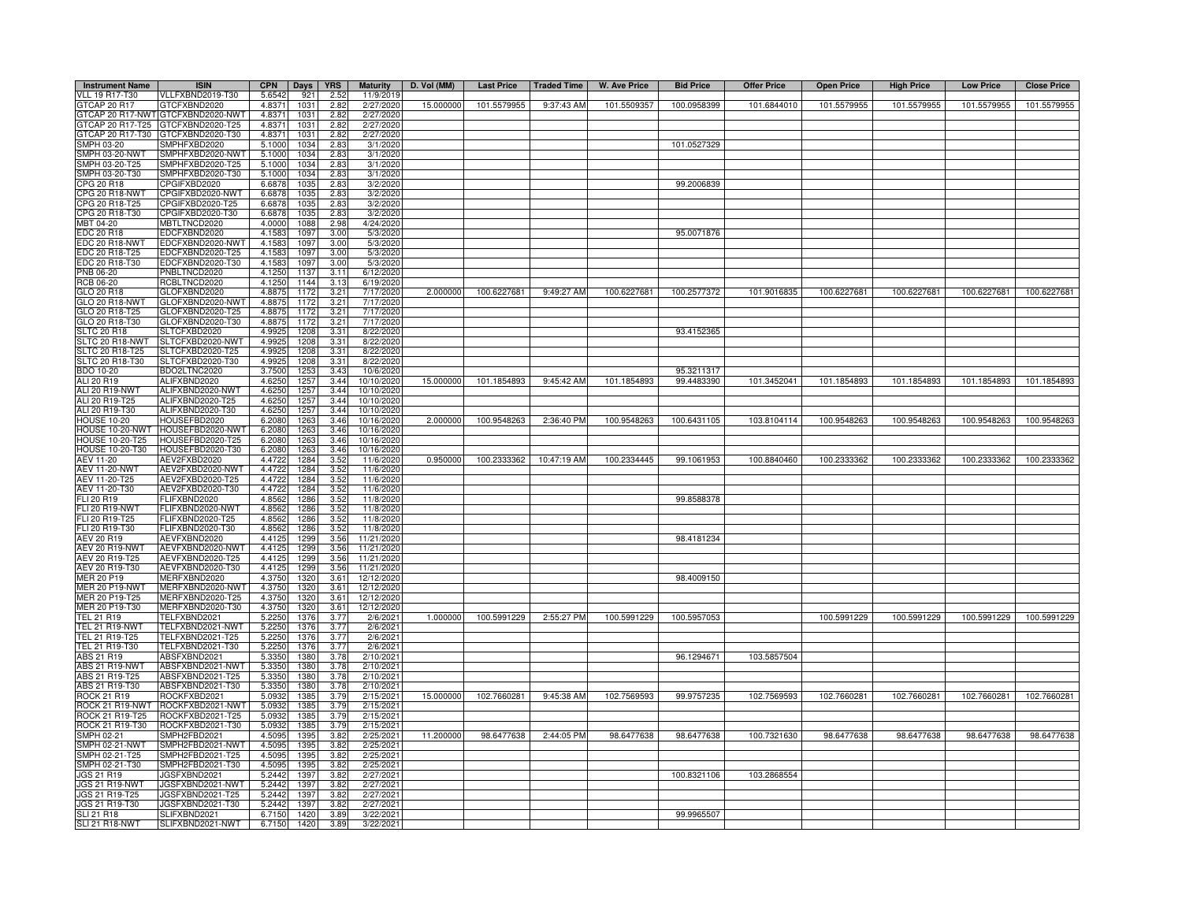| <b>Instrument Name</b>                     | <b>ISIN</b>                          | <b>CPN</b>       | Days         | <b>YRS</b>   | <b>Maturity</b>          | D. Vol (MM) | <b>Last Price</b> | <b>Traded Time</b> | <b>W. Ave Price</b> | <b>Bid Price</b>         | <b>Offer Price</b> | <b>Open Price</b> | <b>High Price</b> | <b>Low Price</b> | <b>Close Price</b> |
|--------------------------------------------|--------------------------------------|------------------|--------------|--------------|--------------------------|-------------|-------------------|--------------------|---------------------|--------------------------|--------------------|-------------------|-------------------|------------------|--------------------|
| <b>VLL 19 R17-T30</b>                      | VLLFXBND2019-T30                     | 5.6542           | 921          | 2.52         | 11/9/2019                |             |                   |                    |                     |                          |                    |                   |                   |                  |                    |
| GTCAP 20 R17<br>GTCAP 20 R17-NWT           | GTCFXBND2020<br>GTCFXBND2020-NWT     | 4.8371           | 1031<br>1031 | 2.82         | 2/27/2020                | 15.000000   | 101.5579955       | 9:37:43 AM         | 101.5509357         | 100.0958399              | 101.6844010        | 101.5579955       | 101.5579955       | 101.5579955      | 101.5579955        |
| GTCAP 20 R17-T25                           | GTCFXBND2020-T25                     | 4.8371<br>4.8371 | 1031         | 2.82<br>2.82 | 2/27/2020<br>2/27/2020   |             |                   |                    |                     |                          |                    |                   |                   |                  |                    |
| GTCAP 20 R17-T30                           | GTCFXBND2020-T30                     | 4.8371           | 1031         | 2.82         | 2/27/2020                |             |                   |                    |                     |                          |                    |                   |                   |                  |                    |
| SMPH 03-20                                 | SMPHFXBD2020                         | 5.1000           | 1034         | 2.83         | 3/1/2020                 |             |                   |                    |                     | 101.0527329              |                    |                   |                   |                  |                    |
| MPH 03-20-NWT                              | SMPHFXBD2020-NWT                     | 5.1000           | 1034         | 2.83         | 3/1/2020                 |             |                   |                    |                     |                          |                    |                   |                   |                  |                    |
| SMPH 03-20-T25                             | SMPHFXBD2020-T25                     | 5.1000           | 1034         | 2.83         | 3/1/2020                 |             |                   |                    |                     |                          |                    |                   |                   |                  |                    |
| SMPH 03-20-T30<br>CPG 20 R18               | SMPHFXBD2020-T30<br>CPGIFXBD2020     | 5.1000<br>6.6878 | 1034<br>1035 | 2.83<br>2.83 | 3/1/2020<br>3/2/2020     |             |                   |                    |                     | 99.2006839               |                    |                   |                   |                  |                    |
| <b>CPG 20 R18-NWT</b>                      | CPGIFXBD2020-NWT                     | 6.6878           | 1035         | 2.83         | 3/2/2020                 |             |                   |                    |                     |                          |                    |                   |                   |                  |                    |
| PG 20 R18-T25                              | CPGIFXBD2020-T25                     | 6.6878           | 1035         | 2.83         | 3/2/2020                 |             |                   |                    |                     |                          |                    |                   |                   |                  |                    |
| CPG 20 R18-T30                             | CPGIFXBD2020-T30                     | 6.6878           | 1035         | 2.83         | 3/2/2020                 |             |                   |                    |                     |                          |                    |                   |                   |                  |                    |
| MBT 04-20                                  | MBTLTNCD2020                         | 4.0000           | 1088         | 2.98         | 4/24/2020                |             |                   |                    |                     |                          |                    |                   |                   |                  |                    |
| EDC 20 R18                                 | EDCFXBND2020                         | 4.1583           | 1097         | 3.00         | 5/3/2020                 |             |                   |                    |                     | 95.0071876               |                    |                   |                   |                  |                    |
| EDC 20 R18-NWT<br>EDC 20 R18-T25           | EDCFXBND2020-NWT<br>EDCFXBND2020-T25 | 4.1583<br>4.1583 | 1097<br>1097 | 3.00<br>3.00 | 5/3/2020<br>5/3/2020     |             |                   |                    |                     |                          |                    |                   |                   |                  |                    |
| EDC 20 R18-T30                             | EDCFXBND2020-T30                     | 4.1583           | 1097         | 3.00         | 5/3/2020                 |             |                   |                    |                     |                          |                    |                   |                   |                  |                    |
| <b>PNB 06-20</b>                           | PNBLTNCD2020                         | 4.1250           | 1137         | 3.11         | 6/12/2020                |             |                   |                    |                     |                          |                    |                   |                   |                  |                    |
| <b>RCB 06-20</b>                           | RCBLTNCD2020                         | 4.1250           | 1144         | 3.13         | 6/19/2020                |             |                   |                    |                     |                          |                    |                   |                   |                  |                    |
| GLO 20 R18                                 | GLOFXBND2020                         | 4.8875           | 1172         | 3.21         | 7/17/2020                | 2.000000    | 100.6227681       | 9:49:27 AM         | 100.6227681         | 100.2577372              | 101.9016835        | 100.6227681       | 100.6227681       | 100.6227681      | 100.6227681        |
| GLO 20 R18-NWT<br>GLO 20 R18-T25           | GLOFXBND2020-NWT<br>GLOFXBND2020-T25 | 4.8875<br>4.8875 | 1172<br>1172 | 3.21<br>3.21 | 7/17/2020<br>7/17/2020   |             |                   |                    |                     |                          |                    |                   |                   |                  |                    |
| GLO 20 R18-T30                             | GLOFXBND2020-T30                     | 4.8875           | 1172         | 3.21         | 7/17/2020                |             |                   |                    |                     |                          |                    |                   |                   |                  |                    |
| <b>SLTC 20 R18</b>                         | SLTCFXBD2020                         | 4.9925           | 1208         | 3.31         | 8/22/2020                |             |                   |                    |                     | 93.4152365               |                    |                   |                   |                  |                    |
| SLTC 20 R18-NWT                            | SLTCFXBD2020-NWT                     | 4.9925           | 1208         | 3.31         | 8/22/2020                |             |                   |                    |                     |                          |                    |                   |                   |                  |                    |
| SLTC 20 R18-T25                            | SLTCFXBD2020-T25                     | 4.9925           | 1208         | 3.31         | 8/22/2020                |             |                   |                    |                     |                          |                    |                   |                   |                  |                    |
| SLTC 20 R18-T30                            | SLTCFXBD2020-T30                     | 4.9925           | 1208         | 3.31         | 8/22/2020                |             |                   |                    |                     |                          |                    |                   |                   |                  |                    |
| <b>BDO 10-20</b><br>ALI 20 R19             | BDO2LTNC2020<br>ALIFXBND2020         | 3.7500<br>4.6250 | 1253<br>1257 | 3.43<br>3.44 | 10/6/2020<br>10/10/2020  | 15.000000   | 101.1854893       | 9:45:42 AM         | 101.1854893         | 95.3211317<br>99.4483390 | 101.3452041        | 101.1854893       | 101.1854893       | 101.1854893      | 101.1854893        |
| ALI 20 R19-NWT                             | ALIFXBND2020-NWT                     | 4.6250           | 1257         | 3.44         | 10/10/2020               |             |                   |                    |                     |                          |                    |                   |                   |                  |                    |
| ALI 20 R19-T25                             | ALIFXBND2020-T25                     | 4.6250           | 1257         | 3.44         | 10/10/2020               |             |                   |                    |                     |                          |                    |                   |                   |                  |                    |
| ALI 20 R19-T30                             | ALIFXBND2020-T30                     | 4.6250           | 1257         | 3.44         | 10/10/2020               |             |                   |                    |                     |                          |                    |                   |                   |                  |                    |
| <b>HOUSE 10-20</b>                         | HOUSEFBD2020                         | 6.2080           | 1263         | 3.46         | 10/16/2020               | 2.000000    | 100.9548263       | 2:36:40 PM         | 100.9548263         | 100.6431105              | 103.8104114        | 100.9548263       | 100.9548263       | 100.9548263      | 100.9548263        |
| HOUSE 10-20-NWT                            | HOUSEFBD2020-NWT                     | 6.2080           | 1263         | 3.46         | 10/16/2020               |             |                   |                    |                     |                          |                    |                   |                   |                  |                    |
| <b>HOUSE 10-20-T25</b><br>HOUSE 10-20-T30  | HOUSEFBD2020-T25<br>HOUSEFBD2020-T30 | 6.2080<br>6.208  | 1263<br>1263 | 3.46<br>3.46 | 10/16/2020<br>10/16/2020 |             |                   |                    |                     |                          |                    |                   |                   |                  |                    |
| <b>AEV 11-20</b>                           | AEV2FXBD2020                         | 4.4722           | 1284         | 3.52         | 11/6/2020                | 0.950000    | 100.2333362       | 10:47:19 AM        | 100.2334445         | 99.1061953               | 100.8840460        | 100.2333362       | 100.2333362       | 100.2333362      | 100.2333362        |
| <b>AEV 11-20-NWT</b>                       | AEV2FXBD2020-NWT                     | 4.472            | 1284         | 3.52         | 11/6/2020                |             |                   |                    |                     |                          |                    |                   |                   |                  |                    |
| AEV 11-20-T25                              | AEV2FXBD2020-T25                     | 4.4722           | 1284         | 3.52         | 11/6/2020                |             |                   |                    |                     |                          |                    |                   |                   |                  |                    |
| AEV 11-20-T30                              | AEV2FXBD2020-T30                     | 4.4722           | 1284         | 3.52         | 11/6/2020                |             |                   |                    |                     |                          |                    |                   |                   |                  |                    |
| FLI 20 R19<br>LI 20 R19-NWT                | FLIFXBND2020<br>FLIFXBND2020-NWT     | 4.8562<br>4.8562 | 1286<br>1286 | 3.52<br>3.52 | 11/8/2020<br>11/8/2020   |             |                   |                    |                     | 99.8588378               |                    |                   |                   |                  |                    |
| LI 20 R19-T25                              | FLIFXBND2020-T25                     | 4.856            | 1286         | 3.52         | 11/8/2020                |             |                   |                    |                     |                          |                    |                   |                   |                  |                    |
| FLI 20 R19-T30                             | FLIFXBND2020-T30                     | 4.8562           | 1286         | 3.52         | 11/8/2020                |             |                   |                    |                     |                          |                    |                   |                   |                  |                    |
| AEV 20 R19                                 | AEVFXBND2020                         | 4.4125           | 1299         | 3.56         | 11/21/2020               |             |                   |                    |                     | 98.4181234               |                    |                   |                   |                  |                    |
| <b>AEV 20 R19-NWT</b>                      | AEVFXBND2020-NWT                     | 4 4 1 2 5        | 1299         | 3.56         | 11/21/2020               |             |                   |                    |                     |                          |                    |                   |                   |                  |                    |
| AEV 20 R19-T25<br>AEV 20 R19-T30           | AEVFXBND2020-T25<br>AEVFXBND2020-T30 | 4.4125<br>4.4125 | 1299<br>1299 | 3.56<br>3.56 | 11/21/2020<br>11/21/202  |             |                   |                    |                     |                          |                    |                   |                   |                  |                    |
| MER 20 P19                                 | MERFXBND2020                         | 4.3750           | 1320         | 3.61         | 12/12/2020               |             |                   |                    |                     | 98.4009150               |                    |                   |                   |                  |                    |
| MER 20 P19-NWT                             | MERFXBND2020-NWT                     | 4.3750           | 1320         | 3.61         | 12/12/2020               |             |                   |                    |                     |                          |                    |                   |                   |                  |                    |
| MER 20 P19-T25                             | MERFXBND2020-T25                     | 4.3750           | 1320         | 3.61         | 12/12/2020               |             |                   |                    |                     |                          |                    |                   |                   |                  |                    |
| MER 20 P19-T30                             | MERFXBND2020-T30                     | 4.3750           | 1320         | 3.61         | 12/12/2020               |             |                   |                    |                     |                          |                    |                   |                   |                  |                    |
| <b>TEL 21 R19</b><br><b>TEL 21 R19-NWT</b> | TELFXBND2021<br>FELFXBND2021-NWT     | 5.2250           | 1376<br>1376 | 3.77<br>3.77 | 2/6/2021<br>2/6/2021     | 1.000000    | 100.5991229       | 2:55:27 PM         | 100.5991229         | 100.5957053              |                    | 100.5991229       | 100.5991229       | 100.5991229      | 100.5991229        |
| TEL 21 R19-T25                             | TELFXBND2021-T25                     | 5.2250<br>5.2250 | 1376         | 3.77         | 2/6/2021                 |             |                   |                    |                     |                          |                    |                   |                   |                  |                    |
|                                            | TELFXBND2021-T30                     | 5.2250           | 1376         | 3.77         | 2/6/2021                 |             |                   |                    |                     |                          |                    |                   |                   |                  |                    |
| TEL 21 R19-T30<br>ABS 21 R19               | ABSFXBND2021                         | 5.3350           | 1380         | 3.78         | 2/10/2021                |             |                   |                    |                     | 96.1294671               | 103.5857504        |                   |                   |                  |                    |
| ABS 21 R19-NWT                             | ABSFXBND2021-NWT                     | 5.3350           | 1380         | 3.78         | 2/10/2021                |             |                   |                    |                     |                          |                    |                   |                   |                  |                    |
| ABS 21 R19-T25<br>ABS 21 R19-T30           | ABSFXBND2021-T25<br>ABSFXBND2021-T30 | 5.3350           | 1380<br>1380 | 3.78<br>3.78 | 2/10/2021<br>2/10/2021   |             |                   |                    |                     |                          |                    |                   |                   |                  |                    |
|                                            | ROCKFXBD2021                         | 5.3350<br>5.0932 | 1385         | 3.79         | 2/15/2021                | 15.000000   | 102.7660281       | 9:45:38 AM         | 102.7569593         | 99.9757235               | 102.7569593        | 102.7660281       | 102.7660281       | 102.7660281      | 102.7660281        |
| ROCK 21 R19<br>ROCK 21 R19-NWT             | ROCKFXBD2021-NWT                     | 5.0932           | 1385         | 3.79         | 2/15/2021                |             |                   |                    |                     |                          |                    |                   |                   |                  |                    |
| ROCK 21 R19-T25                            | ROCKFXBD2021-T25                     | 5.0932           | 1385         | 3.79         | 2/15/2021                |             |                   |                    |                     |                          |                    |                   |                   |                  |                    |
| ROCK 21 R19-T30                            | ROCKFXBD2021-T30                     | 5.0932           | 1385         | 3.79         | 2/15/2021                |             |                   |                    |                     |                          |                    |                   |                   |                  |                    |
| <b>SMPH 02-21</b><br>MPH 02-21-NWT         | SMPH2FBD2021                         | 4.5095           | 1395         | 3.82         | 2/25/2021                | 11.200000   | 98.6477638        | 2:44:05 PM         | 98.6477638          | 98.6477638               | 100.7321630        | 98.6477638        | 98.6477638        | 98.6477638       | 98.6477638         |
| MPH 02-21-T25                              | SMPH2FBD2021-NWT<br>SMPH2FBD2021-T25 | 4.5095<br>4.5095 | 1395<br>1395 | 3.82<br>3.82 | 2/25/2021<br>2/25/2021   |             |                   |                    |                     |                          |                    |                   |                   |                  |                    |
| SMPH 02-21-T30                             | SMPH2FBD2021-T30                     | 4.5095           | 1395         | 3.82         | 2/25/2021                |             |                   |                    |                     |                          |                    |                   |                   |                  |                    |
| <b>JGS 21 R19</b>                          | <b>IGSFXBND2021</b>                  | 5.2442           | 1397         | 3.82         | 2/27/2021                |             |                   |                    |                     | 100.8321106              | 103.2868554        |                   |                   |                  |                    |
| <b>JGS 21 R19-NWT</b>                      | JGSFXBND2021-NWT                     | 5.2442           | 1397         | 3.82         | 2/27/2021                |             |                   |                    |                     |                          |                    |                   |                   |                  |                    |
| JGS 21 R19-T25                             | JGSFXBND2021-T25                     | 5.2442           | 1397         | 3.82         | 2/27/2021                |             |                   |                    |                     |                          |                    |                   |                   |                  |                    |
| JGS 21 R19-T30<br><b>SLI 21 R18</b>        | JGSFXBND2021-T30<br>SLIFXBND2021     | 5.2442<br>6.7150 | 1397<br>1420 | 3.82<br>3.89 | 2/27/2021<br>3/22/2021   |             |                   |                    |                     | 99.9965507               |                    |                   |                   |                  |                    |
| <b>SLI 21 R18-NWT</b>                      | SLIFXBND2021-NWT                     | 6.7150           | 1420         | 3.89         | 3/22/2021                |             |                   |                    |                     |                          |                    |                   |                   |                  |                    |
|                                            |                                      |                  |              |              |                          |             |                   |                    |                     |                          |                    |                   |                   |                  |                    |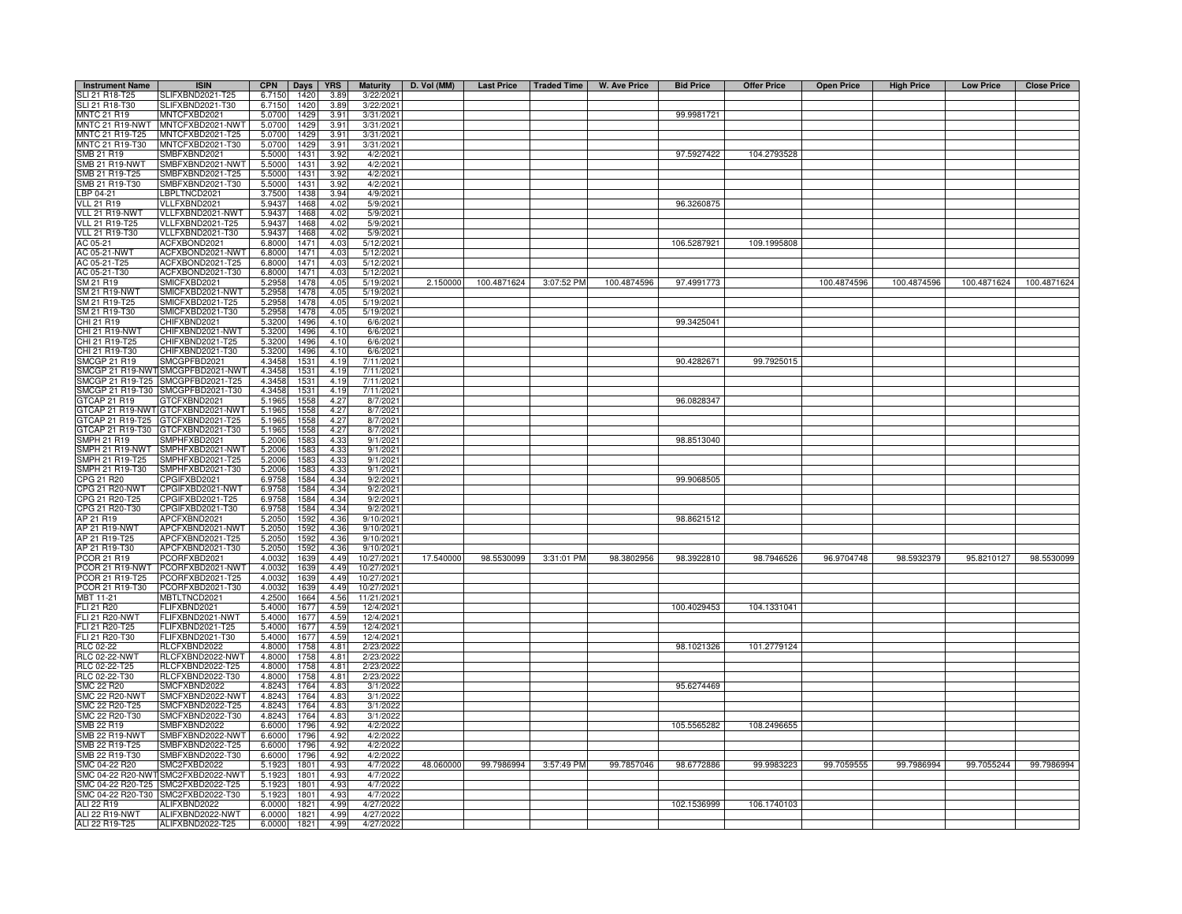| <b>Instrument Name</b>                | <b>ISIN</b>                          | <b>CPN</b>       | Days         | <b>YRS</b>   | <b>Maturity</b>         | D. Vol (MM) | Last Price   Traded Time |            | W. Ave Price | <b>Bid Price</b> | <b>Offer Price</b> | <b>Open Price</b> | <b>High Price</b> | <b>Low Price</b> | <b>Close Price</b> |
|---------------------------------------|--------------------------------------|------------------|--------------|--------------|-------------------------|-------------|--------------------------|------------|--------------|------------------|--------------------|-------------------|-------------------|------------------|--------------------|
| SLI 21 R18-T25                        | SLIFXBND2021-T25                     | 6.7150           | 1420         | 3.89         | 3/22/2021               |             |                          |            |              |                  |                    |                   |                   |                  |                    |
| SLI 21 R18-T30                        | SLIFXBND2021-T30                     | 6.7150           | 1420         | 3.89         | 3/22/2021               |             |                          |            |              |                  |                    |                   |                   |                  |                    |
| <b>MNTC 21 R19</b>                    | MNTCFXBD2021                         | 5.0700           | 1429         | 3.91         | 3/31/2021               |             |                          |            |              | 99.9981721       |                    |                   |                   |                  |                    |
| MNTC 21 R19-NWT<br>MNTC 21 R19-T25    | MNTCFXBD2021-NWT<br>MNTCFXBD2021-T25 | 5.0700<br>5.0700 | 1429<br>1429 | 3.91<br>3.91 | 3/31/2021<br>3/31/2021  |             |                          |            |              |                  |                    |                   |                   |                  |                    |
| MNTC 21 R19-T30                       | MNTCFXBD2021-T30                     | 5.0700           | 1429         | 3.91         | 3/31/2021               |             |                          |            |              |                  |                    |                   |                   |                  |                    |
| SMB 21 R19                            | SMBFXBND2021                         | 5.5000           | 1431         | 3.92         | 4/2/2021                |             |                          |            |              | 97.5927422       | 104.2793528        |                   |                   |                  |                    |
| <b>SMB 21 R19-NWT</b>                 | SMBFXBND2021-NWT                     | 5.5000           | 1431         | 3.92         | 4/2/2021                |             |                          |            |              |                  |                    |                   |                   |                  |                    |
| SMB 21 R19-T25                        | SMBFXBND2021-T25                     | 5.5000           | 1431         | 3.92         | 4/2/202                 |             |                          |            |              |                  |                    |                   |                   |                  |                    |
| SMB 21 R19-T30                        | SMBFXBND2021-T30                     | 5.5000           | 1431         | 3.92         | 4/2/2021                |             |                          |            |              |                  |                    |                   |                   |                  |                    |
| LBP 04-21                             | BPLTNCD2021                          | 3.7500           | 1438         | 3.94         | 4/9/2021                |             |                          |            |              |                  |                    |                   |                   |                  |                    |
| <b>VLL 21 R19</b><br>VLL 21 R19-NWT   | VLLFXBND2021<br>VLLFXBND2021-NWT     | 5.9437<br>5.9437 | 1468<br>1468 | 4.02<br>4.02 | 5/9/2021<br>5/9/2021    |             |                          |            |              | 96.3260875       |                    |                   |                   |                  |                    |
| <b>VLL 21 R19-T25</b>                 | VLLFXBND2021-T25                     | 5.9437           | 1468         | 4.02         | 5/9/2021                |             |                          |            |              |                  |                    |                   |                   |                  |                    |
| VLL 21 R19-T30                        | VLLFXBND2021-T30                     | 5.9437           | 1468         | 4.02         | 5/9/2021                |             |                          |            |              |                  |                    |                   |                   |                  |                    |
| AC 05-21                              | ACFXBOND2021                         | 6.8000           | 1471         | 4.03         | 5/12/2021               |             |                          |            |              | 106.5287921      | 109.1995808        |                   |                   |                  |                    |
| AC 05-21-NWT                          | ACFXBOND2021-NWT                     | 6.8000           | 1471         | 4.03         | 5/12/202                |             |                          |            |              |                  |                    |                   |                   |                  |                    |
| AC 05-21-T25                          | ACFXBOND2021-T25                     | 6.8000           | 1471         | 4.03         | 5/12/202                |             |                          |            |              |                  |                    |                   |                   |                  |                    |
| AC 05-21-T30                          | ACFXBOND2021-T30                     | 6.8000           | 1471         | 4.03         | 5/12/202                |             |                          |            |              |                  |                    |                   |                   |                  |                    |
| SM 21 R19                             | SMICFXBD2021                         | 5.2958           | 1478         | 4.05         | 5/19/2021               | 2.150000    | 100.4871624              | 3:07:52 PM | 100.4874596  | 97.4991773       |                    | 100.4874596       | 100.4874596       | 100.4871624      | 100.4871624        |
| <b>SM 21 R19-NWT</b><br>SM 21 R19-T25 | SMICFXBD2021-NWT<br>SMICFXBD2021-T25 | 5.2958<br>5.2958 | 1478<br>1478 | 4.05<br>4.05 | 5/19/2021<br>5/19/2021  |             |                          |            |              |                  |                    |                   |                   |                  |                    |
| SM 21 R19-T30                         | SMICFXBD2021-T30                     | 5.2958           | 1478         | 4.05         | 5/19/2021               |             |                          |            |              |                  |                    |                   |                   |                  |                    |
| CHI 21 R19                            | CHIFXBND2021                         | 5.3200           | 1496         | 4.10         | 6/6/202                 |             |                          |            |              | 99.3425041       |                    |                   |                   |                  |                    |
| CHI 21 R19-NWT                        | CHIFXBND2021-NWT                     | 5.3200           | 1496         | 4.10         | 6/6/202                 |             |                          |            |              |                  |                    |                   |                   |                  |                    |
| CHI 21 R19-T25                        | CHIFXBND2021-T25                     | 5.3200           | 1496         | 4.10         | 6/6/202                 |             |                          |            |              |                  |                    |                   |                   |                  |                    |
| CHI 21 R19-T30                        | CHIFXBND2021-T30                     | 5.3200           | 1496         | 4.10         | 6/6/202                 |             |                          |            |              |                  |                    |                   |                   |                  |                    |
| <b>SMCGP 21 R19</b>                   | SMCGPFBD2021                         | 4.3458           | 1531         | 4.19         | 7/11/2021               |             |                          |            |              | 90.4282671       | 99.7925015         |                   |                   |                  |                    |
| SMCGP 21 R19-NWT                      | SMCGPFBD2021-NWT                     | 4.3458           | 1531         | 4.19         | 7/11/2021               |             |                          |            |              |                  |                    |                   |                   |                  |                    |
| SMCGP 21 R19-T25<br>SMCGP 21 R19-T30  | SMCGPFBD2021-T25<br>SMCGPFBD2021-T30 | 4.3458<br>4.3458 | 1531<br>1531 | 4.19<br>4.19 | 7/11/2021<br>7/11/2021  |             |                          |            |              |                  |                    |                   |                   |                  |                    |
| GTCAP 21 R19                          | GTCFXBND2021                         | 5.1965           | 1558         | 4.27         | 8/7/2021                |             |                          |            |              | 96.0828347       |                    |                   |                   |                  |                    |
| GTCAP 21 R19-NWT                      | GTCFXBND2021-NWT                     | 5.1965           | 1558         | 4.27         | 8/7/2021                |             |                          |            |              |                  |                    |                   |                   |                  |                    |
| GTCAP 21 R19-T25                      | TCFXBND2021-T25                      | 5.1965           | 1558         | 4.27         | 8/7/2021                |             |                          |            |              |                  |                    |                   |                   |                  |                    |
| 3TCAP 21 R19-T30                      | TCFXBND2021-T30                      | 5.1965           | 1558         | 4.27         | 8/7/2021                |             |                          |            |              |                  |                    |                   |                   |                  |                    |
| <b>SMPH 21 R19</b>                    | MPHFXBD2021                          | 5.2006           | 1583         | 4.33         | 9/1/2021                |             |                          |            |              | 98.8513040       |                    |                   |                   |                  |                    |
| SMPH 21 R19-NWT                       | MPHFXBD2021-NWT                      | 5.2006           | 1583         | 4.33         | 9/1/2021                |             |                          |            |              |                  |                    |                   |                   |                  |                    |
| SMPH 21 R19-T25                       | SMPHFXBD2021-T25                     | 5.2006           | 1583         | 4.33         | 9/1/2021                |             |                          |            |              |                  |                    |                   |                   |                  |                    |
| SMPH 21 R19-T30                       | SMPHFXBD2021-T30<br>CPGIFXBD2021     | 5.2006           | 1583<br>1584 | 4.33         | 9/1/2021<br>9/2/2021    |             |                          |            |              |                  |                    |                   |                   |                  |                    |
| CPG 21 R20<br>CPG 21 R20-NWT          | CPGIFXBD2021-NWT                     | 6.9758<br>6.9758 | 1584         | 4.34<br>4.34 | 9/2/2021                |             |                          |            |              | 99.9068505       |                    |                   |                   |                  |                    |
| CPG 21 R20-T25                        | CPGIFXBD2021-T25                     | 6.9758           | 1584         | 4.34         | 9/2/2021                |             |                          |            |              |                  |                    |                   |                   |                  |                    |
| PG 21 R20-T30                         | CPGIFXBD2021-T30                     | 6.9758           | 1584         | 4.34         | 9/2/2021                |             |                          |            |              |                  |                    |                   |                   |                  |                    |
| AP 21 R19                             | APCFXBND2021                         | 5.205            | 1592         | 4.36         | 9/10/202                |             |                          |            |              | 98.8621512       |                    |                   |                   |                  |                    |
| AP 21 R19-NWT                         | APCFXBND2021-NWT                     | 5.2050           | 1592         | 4.36         | 9/10/202                |             |                          |            |              |                  |                    |                   |                   |                  |                    |
| AP 21 R19-T25                         | APCFXBND2021-T25                     | 5.2050           | 1592         | 4.36         | 9/10/2021               |             |                          |            |              |                  |                    |                   |                   |                  |                    |
| AP 21 R19-T30                         | APCFXBND2021-T30                     | 5.2050           | 1592         | 4.36         | 9/10/202                |             |                          |            |              |                  |                    |                   |                   |                  |                    |
| PCOR 21 R19                           | PCORFXBD2021                         | 4.0032           | 1639         | 4.49         | 10/27/2021              | 17.540000   | 98.5530099               | 3:31:01 PM | 98.3802956   | 98.3922810       | 98.7946526         | 96.9704748        | 98.5932379        | 95.8210127       | 98.5530099         |
| PCOR 21 R19-NWT<br>PCOR 21 R19-T25    | CORFXBD2021-NWT<br>PCORFXBD2021-T25  | 4.003<br>4.0032  | 1639<br>1639 | 4.49<br>4.49 | 10/27/202<br>10/27/2021 |             |                          |            |              |                  |                    |                   |                   |                  |                    |
| PCOR 21 R19-T30                       | PCORFXBD2021-T30                     | 4.0032           | 1639         | 4.49         | 10/27/2021              |             |                          |            |              |                  |                    |                   |                   |                  |                    |
| MBT 11-21                             | MBTLTNCD2021                         | 4.2500           | 1664         | 4.56         | 11/21/2021              |             |                          |            |              |                  |                    |                   |                   |                  |                    |
| FLI 21 R20                            | FLIFXBND2021                         | 5.4000           | 1677         | 4.59         | 12/4/2021               |             |                          |            |              | 100.4029453      | 104.1331041        |                   |                   |                  |                    |
| <b>FLI 21 R20-NWT</b>                 | FLIFXBND2021-NWT                     | 5.4000           | 1677         | 4.59         | 12/4/2021               |             |                          |            |              |                  |                    |                   |                   |                  |                    |
| FLI 21 R20-T25                        | FLIFXBND2021-T25                     | 5.4000           | 1677         | 4.59         | 12/4/2021               |             |                          |            |              |                  |                    |                   |                   |                  |                    |
| FLI 21 R20-T30                        | FLIFXBND2021-T30                     | 5.4000           | 1677         | 4.59         | 12/4/2021               |             |                          |            |              |                  |                    |                   |                   |                  |                    |
| RLC 02-22                             | RLCFXBND2022                         | 4.8000           | 1758         | 4.81         | 2/23/202                |             |                          |            |              | 98.1021326       | 101.2779124        |                   |                   |                  |                    |
| <b>RLC 02-22-NWT</b>                  | RLCFXBND2022-NWT                     | 4.8000<br>4.8000 | 1758<br>1758 | 4.81<br>4.81 | 2/23/202                |             |                          |            |              |                  |                    |                   |                   |                  |                    |
| RLC 02-22-T25<br>RLC 02-22-T30        | RLCFXBND2022-T25<br>RLCFXBND2022-T30 | 4.8000           | 1758         | 4.81         | 2/23/202<br>2/23/2022   |             |                          |            |              |                  |                    |                   |                   |                  |                    |
| <b>SMC 22 R20</b>                     | SMCFXBND2022                         | 4.8243           | 1764         | 4.83         | 3/1/2022                |             |                          |            |              | 95.6274469       |                    |                   |                   |                  |                    |
| <b>SMC 22 R20-NWT</b>                 | SMCFXBND2022-NWT                     | 4.8243           | 1764         | 4.83         | 3/1/202                 |             |                          |            |              |                  |                    |                   |                   |                  |                    |
| SMC 22 R20-T25                        | SMCFXBND2022-T25                     | 4.8243           | 1764         | 4.83         | 3/1/2022                |             |                          |            |              |                  |                    |                   |                   |                  |                    |
| SMC 22 R20-T30                        | SMCFXBND2022-T30                     | 4.8243           | 1764         | 4.83         | 3/1/2022                |             |                          |            |              |                  |                    |                   |                   |                  |                    |
| SMB 22 R19                            | SMBFXBND2022                         | 6.6000           | 1796         | 4.92         | 4/2/2022                |             |                          |            |              | 105.5565282      | 108.2496655        |                   |                   |                  |                    |
| <b>SMB 22 R19-NWT</b>                 | SMBFXBND2022-NWT                     | 6.6000           | 1796         | 4.92         | 4/2/2022                |             |                          |            |              |                  |                    |                   |                   |                  |                    |
| SMB 22 R19-T25                        | SMBFXBND2022-T25                     | 6.6000           | 1796         | 4.92         | 4/2/2022                |             |                          |            |              |                  |                    |                   |                   |                  |                    |
| SMB 22 R19-T30<br>MC 04-22 R20        | SMBFXBND2022-T30<br>MC2FXBD2022      | 6.6000<br>5.1923 | 1796<br>1801 | 4.92<br>4.93 | 4/2/2022<br>4/7/2022    | 48.060000   | 99.7986994               | 3:57:49 PM | 99.7857046   | 98.6772886       | 99.9983223         | 99.7059555        | 99.7986994        | 99.7055244       | 99.7986994         |
| SMC 04-22 R20-NW                      | SMC2FXBD2022-NWT                     | 5.1923           | 1801         | 4.93         | 4/7/2022                |             |                          |            |              |                  |                    |                   |                   |                  |                    |
| MC 04-22 R20-T25                      | MC2FXBD2022-T25                      | 5.1923           | 1801         | 4.93         | 4/7/2022                |             |                          |            |              |                  |                    |                   |                   |                  |                    |
| MC 04-22 R20-T30                      | SMC2FXBD2022-T30                     | 5.1923           | 1801         | 4.93         | 4/7/2022                |             |                          |            |              |                  |                    |                   |                   |                  |                    |
| ALI 22 R19                            | ALIFXBND2022                         | 6.0000           | 1821         | 4.99         | 4/27/2022               |             |                          |            |              | 102.1536999      | 106.1740103        |                   |                   |                  |                    |
| ALI 22 R19-NWT                        | ALIFXBND2022-NWT                     | 6.0000           | 1821         | 4.99         | 4/27/202                |             |                          |            |              |                  |                    |                   |                   |                  |                    |
| ALI 22 R19-T25                        | ALIFXBND2022-T25                     | 6.0000           | 1821         | 4.99         | 4/27/2022               |             |                          |            |              |                  |                    |                   |                   |                  |                    |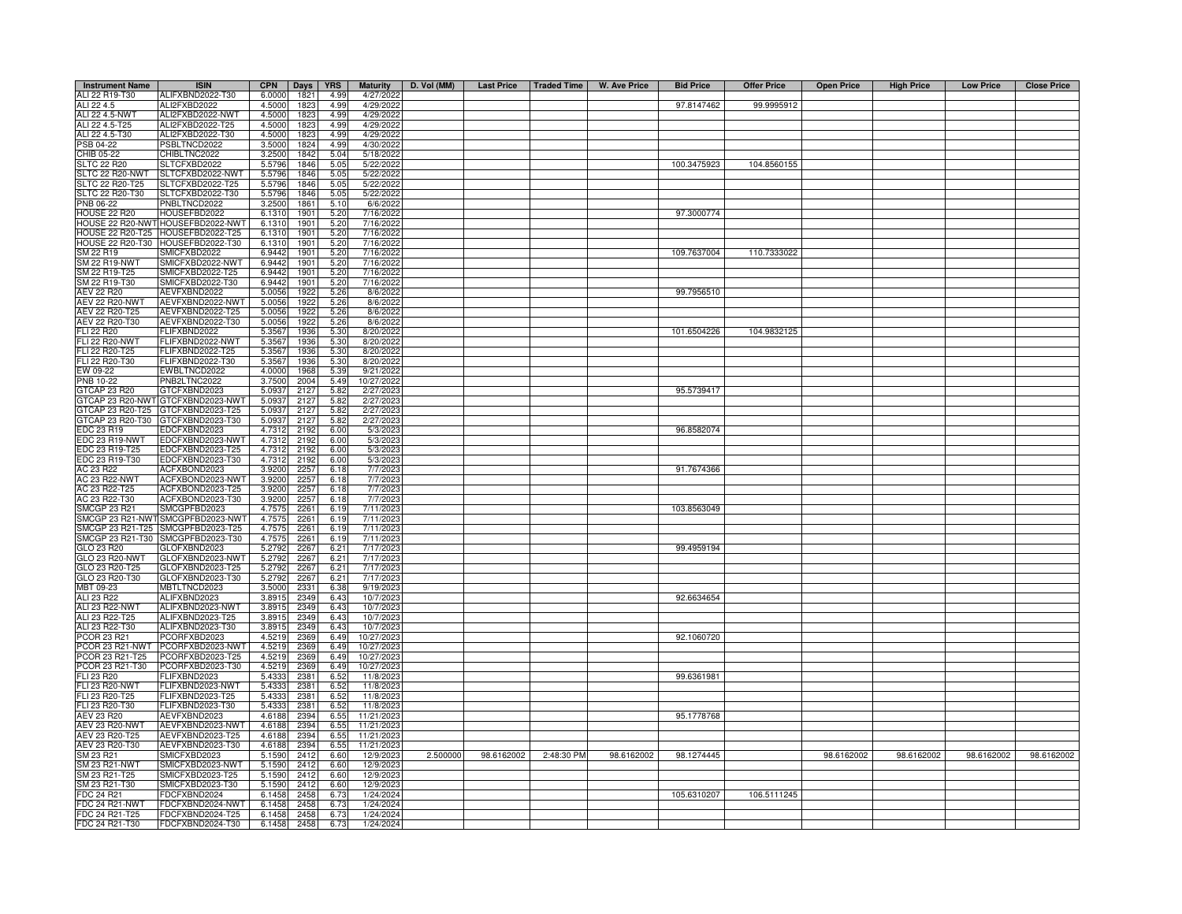| <b>Instrument Name</b>                      | <b>ISIN</b>                          | <b>CPN</b>       | Days         | <b>YRS</b>            | <b>Maturity</b>          | D. Vol (MM) |            |            | Last Price   Traded Time   W. Ave Price | <b>Bid Price</b> | <b>Offer Price</b> | <b>Open Price</b> | <b>High Price</b> | <b>Low Price</b> | <b>Close Price</b> |
|---------------------------------------------|--------------------------------------|------------------|--------------|-----------------------|--------------------------|-------------|------------|------------|-----------------------------------------|------------------|--------------------|-------------------|-------------------|------------------|--------------------|
| ALI 22 R19-T30                              | ALIFXBND2022-T30                     | 6.0000           | 1821         | 4.99                  | 4/27/2022                |             |            |            |                                         |                  |                    |                   |                   |                  |                    |
| ALI 22 4.5                                  | ALI2FXBD2022                         | 4.5000           | 1823         | 4.99                  | 4/29/2022                |             |            |            |                                         | 97.8147462       | 99.9995912         |                   |                   |                  |                    |
| ALI 22 4.5-NWT                              | ALI2FXBD2022-NWT                     | 4.5000           | 1823         | 4.99                  | 4/29/2022                |             |            |            |                                         |                  |                    |                   |                   |                  |                    |
| ALI 22 4.5-T25                              | ALI2FXBD2022-T25                     | 4.5000           | 1823         | 4.99                  | 4/29/2022                |             |            |            |                                         |                  |                    |                   |                   |                  |                    |
| ALI 22 4.5-T30                              | ALI2FXBD2022-T30                     | 4.5000           | 1823         | 4.99                  | 4/29/202                 |             |            |            |                                         |                  |                    |                   |                   |                  |                    |
| PSB 04-22<br>CHIB 05-22                     | PSBLTNCD2022<br>CHIBLTNC2022         | 3.5000<br>3.2500 | 1824<br>1842 | 4.99<br>5.04          | 4/30/2022<br>5/18/202    |             |            |            |                                         |                  |                    |                   |                   |                  |                    |
| <b>SLTC 22 R20</b>                          | SLTCFXBD2022                         | 5.5796           | 1846         | 5.05                  | 5/22/2022                |             |            |            |                                         | 100.3475923      | 104.8560155        |                   |                   |                  |                    |
| SLTC 22 R20-NWT                             | SLTCFXBD2022-NWT                     | 5.5796           | 1846         | 5.05                  | 5/22/202                 |             |            |            |                                         |                  |                    |                   |                   |                  |                    |
| SLTC 22 R20-T25                             | SLTCFXBD2022-T25                     | 5.5796           | 1846         | 5.05                  | 5/22/2022                |             |            |            |                                         |                  |                    |                   |                   |                  |                    |
| SLTC 22 R20-T30                             | SLTCFXBD2022-T30                     | 5.5796           | 1846         | 5.05                  | 5/22/2022                |             |            |            |                                         |                  |                    |                   |                   |                  |                    |
| PNB 06-22                                   | PNBLTNCD2022                         | 3.2500           | 1861         | 5.10                  | 6/6/202                  |             |            |            |                                         |                  |                    |                   |                   |                  |                    |
| HOUSE 22 R20                                | HOUSEFBD2022                         | 6.1310           | 1901         | 5.20                  | 7/16/2022                |             |            |            |                                         | 97.3000774       |                    |                   |                   |                  |                    |
|                                             | HOUSE 22 R20-NWT HOUSEFBD2022-NWT    | 6.1310           | 1901         | 5.20                  | 7/16/2022                |             |            |            |                                         |                  |                    |                   |                   |                  |                    |
| <b>HOUSE 22 R20-T25</b><br>HOUSE 22 R20-T30 | HOUSEFBD2022-T25<br>HOUSEFBD2022-T30 | 6.1310<br>6.1310 | 1901<br>1901 | 5.20<br>5.20          | 7/16/2022<br>7/16/2022   |             |            |            |                                         |                  |                    |                   |                   |                  |                    |
| SM 22 R19                                   | MICFXBD2022                          | 6.9442           | 1901         | 5.20                  | 7/16/202                 |             |            |            |                                         | 109.7637004      | 110.7333022        |                   |                   |                  |                    |
| SM 22 R19-NWT                               | MICFXBD2022-NWT                      | 6.9442           | 1901         | 5.20                  | 7/16/202                 |             |            |            |                                         |                  |                    |                   |                   |                  |                    |
| SM 22 R19-T25                               | MICFXBD2022-T25                      | 6.9442           | 1901         | 5.20                  | 7/16/202                 |             |            |            |                                         |                  |                    |                   |                   |                  |                    |
| SM 22 R19-T30                               | SMICFXBD2022-T30                     | 6.9442           | 1901         | 5.20                  | 7/16/2022                |             |            |            |                                         |                  |                    |                   |                   |                  |                    |
| <b>AEV 22 R20</b>                           | AEVFXBND2022                         | 5.0056           | 1922         | 5.26                  | 8/6/202                  |             |            |            |                                         | 99.7956510       |                    |                   |                   |                  |                    |
| <b>AEV 22 R20-NWT</b>                       | AEVFXBND2022-NWT                     | 5.0056           | 1922         | 5.26                  | 8/6/202                  |             |            |            |                                         |                  |                    |                   |                   |                  |                    |
| AEV 22 R20-T25                              | AEVFXBND2022-T25                     | 5.0056           | 1922         | 5.26                  | 8/6/2022                 |             |            |            |                                         |                  |                    |                   |                   |                  |                    |
| AEV 22 R20-T30<br><b>FLI 22 R20</b>         | AEVFXBND2022-T30<br>FLIFXBND2022     | 5.0056<br>5.3567 | 1922<br>1936 | 5.26<br>5.30          | 8/6/202<br>8/20/2022     |             |            |            |                                         | 101.6504226      | 104.9832125        |                   |                   |                  |                    |
| <b>FLI 22 R20-NWT</b>                       | FLIFXBND2022-NWT                     | 5.3567           | 1936         | 5.30                  | 8/20/2022                |             |            |            |                                         |                  |                    |                   |                   |                  |                    |
| FLI 22 R20-T25                              | FLIFXBND2022-T25                     | 5.3567           | 1936         | 5.30                  | 8/20/202                 |             |            |            |                                         |                  |                    |                   |                   |                  |                    |
| FLI 22 R20-T30                              | -LIFXBND2022-T30                     | 5.3567           | 1936         | 5.30                  | 8/20/2022                |             |            |            |                                         |                  |                    |                   |                   |                  |                    |
| EW 09-22                                    | WBLTNCD2022                          | 4.0000           | 1968         | 5.39                  | 9/21/202                 |             |            |            |                                         |                  |                    |                   |                   |                  |                    |
| <b>PNB 10-22</b>                            | NB2LTNC2022                          | 3.7500           | 2004         | 5.49                  | 10/27/202                |             |            |            |                                         |                  |                    |                   |                   |                  |                    |
| GTCAP 23 R20                                | GTCFXBND2023                         | 5.0937           | 2127         | 5.82                  | 2/27/202                 |             |            |            |                                         | 95.5739417       |                    |                   |                   |                  |                    |
| <b>GTCAP 23 R20-NWT</b>                     | GTCFXBND2023-NWT                     | 5.0937           | 2127         | 5.82                  | 2/27/202                 |             |            |            |                                         |                  |                    |                   |                   |                  |                    |
| GTCAP 23 R20-T25<br>GTCAP 23 R20-T30        | GTCFXBND2023-T25<br>TCFXBND2023-T30  | 5.0937<br>5.0937 | 2127<br>2127 | 5.82<br>5.82          | 2/27/202<br>2/27/202     |             |            |            |                                         |                  |                    |                   |                   |                  |                    |
| EDC 23 R19                                  | DCFXBND2023                          | 4.7312           | 2192         | 6.00                  | 5/3/202                  |             |            |            |                                         | 96.8582074       |                    |                   |                   |                  |                    |
| EDC 23 R19-NWT                              | EDCFXBND2023-NWT                     | 4.7312           | 2192         | 6.00                  | 5/3/202                  |             |            |            |                                         |                  |                    |                   |                   |                  |                    |
| EDC 23 R19-T25                              | EDCFXBND2023-T25                     | 4.731            | 2192         | 6.00                  | 5/3/202                  |             |            |            |                                         |                  |                    |                   |                   |                  |                    |
| EDC 23 R19-T30                              | EDCFXBND2023-T30                     | 4.7312           | 2192         | 6.00                  | 5/3/202                  |             |            |            |                                         |                  |                    |                   |                   |                  |                    |
| AC 23 R22                                   | ACFXBOND2023                         | 3.9200           | 225          | 6.18                  | 7/7/202                  |             |            |            |                                         | 91.7674366       |                    |                   |                   |                  |                    |
| AC 23 R22-NWT<br>AC 23 R22-T25              | ACFXBOND2023-NWT<br>ACFXBOND2023-T25 | 3.9200<br>3.9200 | 2257<br>2257 | 6.18<br>6.18          | 7/7/2023<br>7/7/2023     |             |            |            |                                         |                  |                    |                   |                   |                  |                    |
| AC 23 R22-T30                               | ACFXBOND2023-T30                     | 3.9200           | 2257         | 6.18                  | 7/7/2023                 |             |            |            |                                         |                  |                    |                   |                   |                  |                    |
| MCGP 23 R21                                 | SMCGPFBD2023                         | 4.7575           | 2261         | 6.19                  | 7/11/2023                |             |            |            |                                         | 103.8563049      |                    |                   |                   |                  |                    |
| MCGP 23 R21-NW                              | MCGPFBD2023-NWT                      | 4.7575           | $226 -$      | 6.19                  | 7/11/2023                |             |            |            |                                         |                  |                    |                   |                   |                  |                    |
| SMCGP 23 R21-T25                            | MCGPFBD2023-T25                      | 4.7575           | 2261         | 6.19                  | 7/11/2023                |             |            |            |                                         |                  |                    |                   |                   |                  |                    |
| SMCGP 23 R21-T30                            | MCGPFBD2023-T30                      | 4.7575           | 2261         | 6.19                  | 7/11/2023                |             |            |            |                                         |                  |                    |                   |                   |                  |                    |
| GLO 23 R20                                  | <b>GLOFXBND2023</b>                  | 5.2792           | 2267         | 6.21                  | 7/17/202:                |             |            |            |                                         | 99.4959194       |                    |                   |                   |                  |                    |
| GLO 23 R20-NWT<br>GLO 23 R20-T25            | GLOFXBND2023-NWT<br>GLOFXBND2023-T25 | 5.2792<br>5.2792 | 226<br>226   | 6.21<br>$6.2^{\circ}$ | 7/17/2023<br>7/17/202    |             |            |            |                                         |                  |                    |                   |                   |                  |                    |
| GLO 23 R20-T30                              | GLOFXBND2023-T30                     | 5.2792           | 2267         | 6.21                  | 7/17/202                 |             |            |            |                                         |                  |                    |                   |                   |                  |                    |
| MBT 09-23                                   | MBTLTNCD2023                         | 3.5000           | 2331         | 6.38                  | 9/19/202                 |             |            |            |                                         |                  |                    |                   |                   |                  |                    |
| ALI 23 R22                                  | ALIFXBND2023                         | 3.8915           | 2349         | 6.43                  | 10/7/202:                |             |            |            |                                         | 92.6634654       |                    |                   |                   |                  |                    |
| ALI 23 R22-NWT                              | ALIFXBND2023-NWT                     | 3.8915           | 2349         | 6.43                  | 10/7/2023                |             |            |            |                                         |                  |                    |                   |                   |                  |                    |
| ALI 23 R22-T25                              | ALIFXBND2023-T25                     | 3.8915           | 2349         | 6.43                  | 10/7/202                 |             |            |            |                                         |                  |                    |                   |                   |                  |                    |
| ALI 23 R22-T30                              | ALIFXBND2023-T30                     | 3.8915           | 2349         | 6.43                  | 10/7/202                 |             |            |            |                                         |                  |                    |                   |                   |                  |                    |
| PCOR 23 R21<br>PCOR 23 R21-NWT              | PCORFXBD2023<br>PCORFXBD2023-NWT     | 4.5219<br>4.5219 | 2369         | 6.49<br>6.49          | 10/27/202<br>10/27/202   |             |            |            |                                         | 92.1060720       |                    |                   |                   |                  |                    |
| PCOR 23 R21-T25                             | PCORFXBD2023-T25                     | 4.5219           | 2369<br>2369 | 6.49                  | 10/27/202                |             |            |            |                                         |                  |                    |                   |                   |                  |                    |
| PCOR 23 R21-T30                             | PCORFXBD2023-T30                     | 4.5219           | 2369         | 6.49                  | 10/27/202                |             |            |            |                                         |                  |                    |                   |                   |                  |                    |
| FLI 23 R20                                  | FLIFXBND2023                         | 5.4333           | 2381         | 6.52                  | 11/8/202                 |             |            |            |                                         | 99.6361981       |                    |                   |                   |                  |                    |
| <b>FLI 23 R20-NWT</b>                       | FLIFXBND2023-NWT                     | 5.4333           | 2381         | 6.52                  | 11/8/2023                |             |            |            |                                         |                  |                    |                   |                   |                  |                    |
| FLI 23 R20-T25                              | FLIFXBND2023-T25                     | 5.4333           | 2381         | 6.52                  | 11/8/202                 |             |            |            |                                         |                  |                    |                   |                   |                  |                    |
| FLI 23 R20-T30                              | FLIFXBND2023-T30                     | 5.4333           | 2381         | 6.52                  | 11/8/202                 |             |            |            |                                         |                  |                    |                   |                   |                  |                    |
| AEV 23 R20<br><b>AEV 23 R20-NWT</b>         | AEVFXBND2023<br>AEVFXBND2023-NWT     | 4.6188<br>4.6188 | 2394<br>2394 | 6.55<br>6.55          | 11/21/2023<br>11/21/2023 |             |            |            |                                         | 95.1778768       |                    |                   |                   |                  |                    |
| AEV 23 R20-T25                              | AEVFXBND2023-T25                     | 4.6188           | 2394         | 6.55                  | 11/21/2023               |             |            |            |                                         |                  |                    |                   |                   |                  |                    |
| AEV 23 R20-T30                              | AEVFXBND2023-T30                     | 4.6188           | 2394         | 6.55                  | 11/21/2023               |             |            |            |                                         |                  |                    |                   |                   |                  |                    |
| SM 23 R21                                   | SMICFXBD2023                         | 5.1590           | 2412         | 6.60                  | 12/9/2023                | 2.500000    | 98.6162002 | 2:48:30 PM | 98.6162002                              | 98.1274445       |                    | 98.6162002        | 98.6162002        | 98.6162002       | 98.6162002         |
| SM 23 R21-NWT                               | MICFXBD2023-NWT                      | 5.1590           | 2412         | 6.60                  | 12/9/202                 |             |            |            |                                         |                  |                    |                   |                   |                  |                    |
| SM 23 R21-T25                               | SMICFXBD2023-T25                     | 5.1590           | 2412         | 6.60                  | 12/9/202                 |             |            |            |                                         |                  |                    |                   |                   |                  |                    |
| SM 23 R21-T30<br>FDC 24 R21                 | MICFXBD2023-T30<br>DCFXBND2024       | 5.1590<br>6.1458 | 2412<br>2458 | 6.60<br>6.7           | 12/9/202:<br>1/24/2024   |             |            |            |                                         | 105.6310207      | 106.5111245        |                   |                   |                  |                    |
| FDC 24 R21-NW                               | FDCFXBND2024-NWT                     | 6.1458           | 2458         | 6.73                  | 1/24/2024                |             |            |            |                                         |                  |                    |                   |                   |                  |                    |
| FDC 24 R21-T25                              | DCFXBND2024-T25                      | 6.1458           | 2458         | 6.7 <sup>2</sup>      | 1/24/2024                |             |            |            |                                         |                  |                    |                   |                   |                  |                    |
| FDC 24 R21-T30                              | FDCFXBND2024-T30                     | 6.1458           | 2458         | 6.73                  | 1/24/2024                |             |            |            |                                         |                  |                    |                   |                   |                  |                    |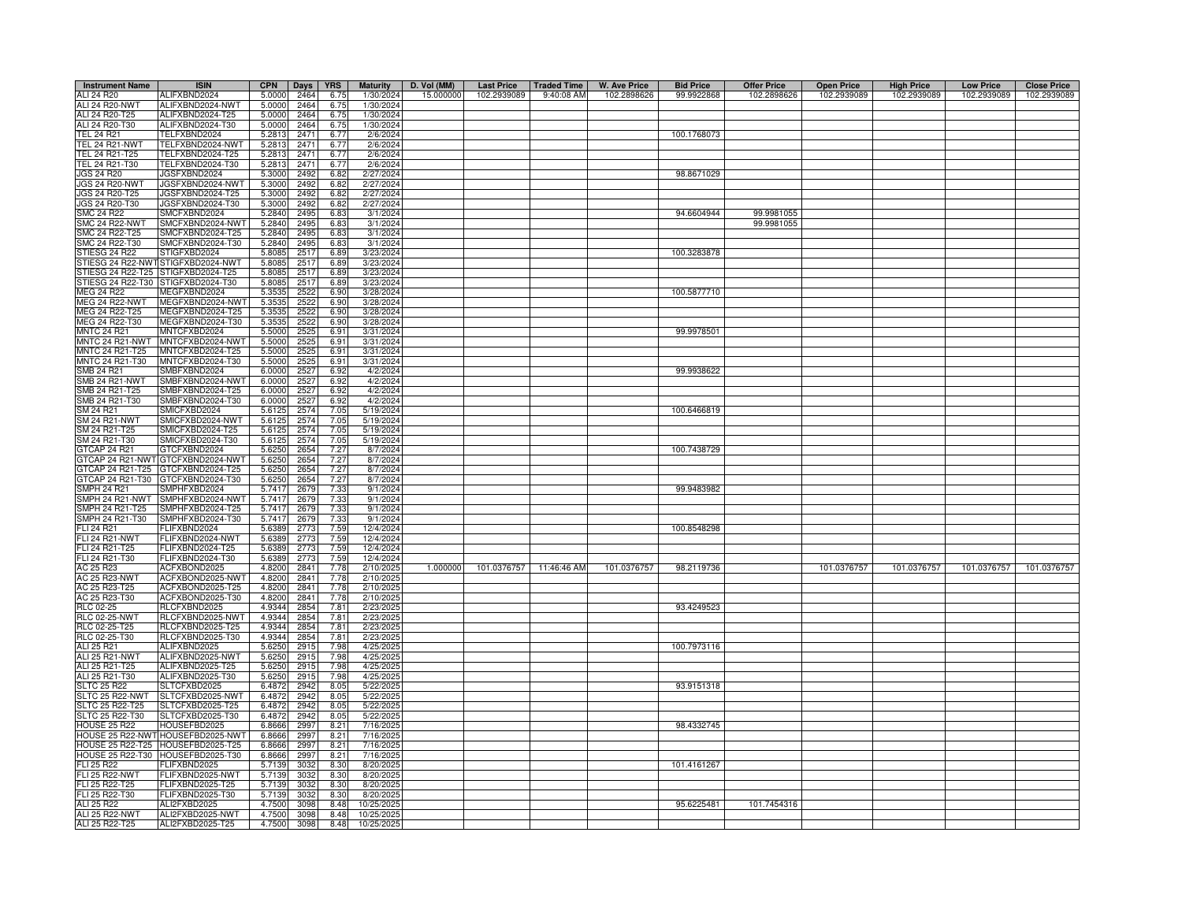| <b>Instrument Name</b>                  | <b>ISIN</b>                             | <b>CPN</b>       | Days         | <b>YRS</b>    | <b>Maturity</b>        | D. Vol (MM) | <b>Last Price</b> | <b>Traded Time</b>      | <b>W. Ave Price</b> | <b>Bid Price</b> | <b>Offer Price</b> | <b>Open Price</b> | <b>High Price</b> | <b>Low Price</b> | <b>Close Price</b> |
|-----------------------------------------|-----------------------------------------|------------------|--------------|---------------|------------------------|-------------|-------------------|-------------------------|---------------------|------------------|--------------------|-------------------|-------------------|------------------|--------------------|
| ALI 24 R20                              | ALIFXBND2024                            | 5.0000           | 2464         | 6.75          | 1/30/2024              | 15.000000   | 102.2939089       | 9:40:08 AM              | 102.2898626         | 99.9922868       | 102.2898626        | 102.2939089       | 102.2939089       | 102.2939089      | 102.2939089        |
| ALI 24 R20-NWT                          | ALIFXBND2024-NWT                        | 5.0000           | 2464         | 6.75          | 1/30/2024              |             |                   |                         |                     |                  |                    |                   |                   |                  |                    |
| ALI 24 R20-T25                          | ALIFXBND2024-T25                        | 5.0000           | 2464         | 6.75          | 1/30/2024              |             |                   |                         |                     |                  |                    |                   |                   |                  |                    |
| ALI 24 R20-T30                          | ALIFXBND2024-T30                        | 5.0000           | 2464         | 6.75          | 1/30/2024              |             |                   |                         |                     |                  |                    |                   |                   |                  |                    |
| <b>TEL 24 R21</b>                       | TELFXBND2024<br>TELFXBND2024-NWT        | 5.2813           | 2471         | 6.77          | 2/6/2024               |             |                   |                         |                     | 100.1768073      |                    |                   |                   |                  |                    |
| <b>TEL 24 R21-NWT</b><br>TEL 24 R21-T25 | TELFXBND2024-T25                        | 5.2813<br>5.2813 | 2471<br>2471 | 6.77<br>6.77  | 2/6/2024<br>2/6/2024   |             |                   |                         |                     |                  |                    |                   |                   |                  |                    |
| TEL 24 R21-T30                          | ELFXBND2024-T30                         | 5.2813           | 2471         | 6.77          | 2/6/2024               |             |                   |                         |                     |                  |                    |                   |                   |                  |                    |
| <b>JGS 24 R20</b>                       | JGSFXBND2024                            | 5.3000           | 2492         | 6.82          | 2/27/2024              |             |                   |                         |                     | 98.8671029       |                    |                   |                   |                  |                    |
| JGS 24 R20-NWT                          | JGSFXBND2024-NWT                        | 5.3000           | 2492         | 6.82          | 2/27/2024              |             |                   |                         |                     |                  |                    |                   |                   |                  |                    |
| JGS 24 R20-T25                          | JGSFXBND2024-T25                        | 5.3000           | 2492         | 6.82          | 2/27/2024              |             |                   |                         |                     |                  |                    |                   |                   |                  |                    |
| JGS 24 R20-T30                          | JGSFXBND2024-T30                        | 5.3000           | 2492         | 6.82          | 2/27/2024              |             |                   |                         |                     |                  |                    |                   |                   |                  |                    |
| <b>SMC 24 R22</b>                       | SMCFXBND2024                            | 5.2840           | 2495         | 6.83          | 3/1/2024               |             |                   |                         |                     | 94.6604944       | 99.9981055         |                   |                   |                  |                    |
| <b>SMC 24 R22-NWT</b>                   | SMCFXBND2024-NWT                        | 5.2840           | 2495         | 6.83          | 3/1/2024               |             |                   |                         |                     |                  | 99.9981055         |                   |                   |                  |                    |
| SMC 24 R22-T25<br>SMC 24 R22-T30        | SMCFXBND2024-T25<br>SMCFXBND2024-T30    | 5.2840<br>5.2840 | 2495         | 6.83          | 3/1/2024               |             |                   |                         |                     |                  |                    |                   |                   |                  |                    |
| STIESG 24 R22                           | STIGFXBD2024                            | 5.8085           | 249<br>251   | 6.83<br>6.89  | 3/1/2024<br>3/23/2024  |             |                   |                         |                     | 100.3283878      |                    |                   |                   |                  |                    |
| TIESG 24 R22-NW                         | TIGFXBD2024-NWT                         | 5.8085           | 251          | 6.89          | 3/23/2024              |             |                   |                         |                     |                  |                    |                   |                   |                  |                    |
| TIESG 24 R22-T25                        | TIGFXBD2024-T25                         | 5.8085           | 251          | 6.89          | 3/23/2024              |             |                   |                         |                     |                  |                    |                   |                   |                  |                    |
| STIESG 24 R22-T30                       | STIGFXBD2024-T30                        | 5.8085           | 251          | 6.89          | 3/23/2024              |             |                   |                         |                     |                  |                    |                   |                   |                  |                    |
| <b>MEG 24 R22</b>                       | MEGFXBND2024                            | 5.3535           | 2522         | 6.90          | 3/28/2024              |             |                   |                         |                     | 100.5877710      |                    |                   |                   |                  |                    |
| <b>MEG 24 R22-NW</b>                    | MEGFXBND2024-NWT                        | 5.3535           | 2522         | 6.90          | 3/28/202               |             |                   |                         |                     |                  |                    |                   |                   |                  |                    |
| MEG 24 R22-T25                          | MEGFXBND2024-T25                        | 5.3535           | 2522         | 6.90          | 3/28/2024              |             |                   |                         |                     |                  |                    |                   |                   |                  |                    |
| MEG 24 R22-T30                          | MEGFXBND2024-T30                        | 5.3535           | 2522         | 6.90          | 3/28/2024              |             |                   |                         |                     |                  |                    |                   |                   |                  |                    |
| <b>MNTC 24 R21</b>                      | MNTCFXBD2024                            | 5.5000           | 2525         | 6.91          | 3/31/2024              |             |                   |                         |                     | 99.9978501       |                    |                   |                   |                  |                    |
| MNTC 24 R21-NWT<br>MNTC 24 R21-T25      | MNTCFXBD2024-NWT<br>MNTCFXBD2024-T25    | 5.5000<br>5.5000 | 2525<br>2525 | 6.91<br>6.91  | 3/31/2024<br>3/31/2024 |             |                   |                         |                     |                  |                    |                   |                   |                  |                    |
| MNTC 24 R21-T30                         | MNTCFXBD2024-T30                        | 5.5000           | 2525         | 6.91          | 3/31/2024              |             |                   |                         |                     |                  |                    |                   |                   |                  |                    |
| SMB 24 R21                              | MBFXBND2024                             | 6.0000           | 252          | 6.92          | 4/2/202                |             |                   |                         |                     | 99.9938622       |                    |                   |                   |                  |                    |
| SMB 24 R21-NWT                          | MBFXBND2024-NWT                         | 6.0000           | 2527         | 6.92          | 4/2/2024               |             |                   |                         |                     |                  |                    |                   |                   |                  |                    |
| SMB 24 R21-T25                          | MBFXBND2024-T25                         | 6.0000           | 2527         | 6.92          | 4/2/2024               |             |                   |                         |                     |                  |                    |                   |                   |                  |                    |
| SMB 24 R21-T30                          | MBFXBND2024-T30                         | 6.000C           | 2527         | 6.92          | 4/2/2024               |             |                   |                         |                     |                  |                    |                   |                   |                  |                    |
| SM 24 R21                               | <b>MICFXBD2024</b>                      | 5.6125           | 2574         | 7.05          | 5/19/2024              |             |                   |                         |                     | 100.6466819      |                    |                   |                   |                  |                    |
| <b>SM 24 R21-NWT</b>                    | MICFXBD2024-NWT                         | 5.6125           | 2574<br>2574 | 7.05          | 5/19/2024              |             |                   |                         |                     |                  |                    |                   |                   |                  |                    |
| SM 24 R21-T25<br>SM 24 R21-T30          | MICFXBD2024-T25<br>MICFXBD2024-T30      | 5.6125<br>5.6125 | 2574         | 7.05<br>7.05  | 5/19/2024<br>5/19/2024 |             |                   |                         |                     |                  |                    |                   |                   |                  |                    |
| <b>GTCAP 24 R21</b>                     | TCFXBND2024                             | 5.625            | 265          | $7.2^{\circ}$ | 8/7/202                |             |                   |                         |                     | 100.7438729      |                    |                   |                   |                  |                    |
| GTCAP 24 R21-NWT                        | GTCFXBND2024-NWT                        | 5.6250           | 2654         | 7.27          | 8/7/2024               |             |                   |                         |                     |                  |                    |                   |                   |                  |                    |
| GTCAP 24 R21-T25                        | GTCFXBND2024-T25                        | 5.6250           | 2654         | 7.27          | 8/7/2024               |             |                   |                         |                     |                  |                    |                   |                   |                  |                    |
| GTCAP 24 R21-T30                        | GTCFXBND2024-T30                        | 5.6250           | 2654         | 7.27          | 8/7/2024               |             |                   |                         |                     |                  |                    |                   |                   |                  |                    |
| SMPH 24 R21                             | SMPHFXBD2024                            | 5.7417           | 2679         | 7.33          | 9/1/2024               |             |                   |                         |                     | 99.9483982       |                    |                   |                   |                  |                    |
| SMPH 24 R21-NWT<br>MPH 24 R21-T25       | SMPHFXBD2024-NWT<br>MPHFXBD2024-T25     | 5.7417<br>5.7417 | 2679<br>2679 | 7.33<br>7.33  | 9/1/2024<br>9/1/2024   |             |                   |                         |                     |                  |                    |                   |                   |                  |                    |
| MPH 24 R21-T30                          | MPHFXBD2024-T30                         | 5.7417           | 2679         | 7.33          | 9/1/2024               |             |                   |                         |                     |                  |                    |                   |                   |                  |                    |
| FLI 24 R21                              | <b>ELIFXBND2024</b>                     | 5.6389           | 2773         | 7.59          | 12/4/2024              |             |                   |                         |                     | 100.8548298      |                    |                   |                   |                  |                    |
| <b>FLI 24 R21-NWT</b>                   | FLIFXBND2024-NWT                        | 5.6389           | 2773         | 7.59          | 12/4/2024              |             |                   |                         |                     |                  |                    |                   |                   |                  |                    |
| FLI 24 R21-T25                          | FLIFXBND2024-T25                        | 5.6389           | 2773         | 7.59          | 12/4/2024              |             |                   |                         |                     |                  |                    |                   |                   |                  |                    |
| FLI 24 R21-T30                          | FLIFXBND2024-T30                        | 5.6389           | 2773         | 7.59          | 12/4/202               |             |                   |                         |                     |                  |                    |                   |                   |                  |                    |
| AC 25 R23                               | ACFXBOND2025                            | 4.8200           | 2841         | 7.78          | 2/10/202               | 1.000000    |                   | 101.0376757 11:46:46 AM | 101.0376757         | 98.2119736       |                    | 101.0376757       | 101.0376757       | 101.0376757      | 101.0376757        |
| AC 25 R23-NWT                           | ACFXBOND2025-NWT                        | 4.8200           | 2841         | 7.78          | 2/10/202               |             |                   |                         |                     |                  |                    |                   |                   |                  |                    |
| AC 25 R23-T25<br>AC 25 R23-T30          | ACFXBOND2025-T25<br>ACFXBOND2025-T30    | 4.8200<br>4.8200 | 2841<br>2841 | 7.78<br>7.78  | 2/10/202<br>2/10/202   |             |                   |                         |                     |                  |                    |                   |                   |                  |                    |
| RLC 02-25                               | RLCFXBND2025                            | 4.9344           | 2854         | 7.81          | 2/23/202               |             |                   |                         |                     | 93.4249523       |                    |                   |                   |                  |                    |
| <b>RLC 02-25-NWT</b>                    | RLCFXBND2025-NWT                        | 4.9344           | 2854         | 7.81          | 2/23/202               |             |                   |                         |                     |                  |                    |                   |                   |                  |                    |
| RLC 02-25-T25                           | RLCFXBND2025-T25                        | 4.9344           | 2854         | 7.81          | 2/23/202               |             |                   |                         |                     |                  |                    |                   |                   |                  |                    |
| RLC 02-25-T30                           | RLCFXBND2025-T30                        | 4.9344           | 2854         | 7.81          | 2/23/202               |             |                   |                         |                     |                  |                    |                   |                   |                  |                    |
| ALI 25 R21                              | ALIFXBND2025                            | 5.6250           | 2915         | 7.98          | 4/25/202               |             |                   |                         |                     | 100.7973116      |                    |                   |                   |                  |                    |
| <b>ALI 25 R21-NWT</b>                   | ALIFXBND2025-NWT                        | 5.6250           | 2915         | 7.98          | 4/25/202               |             |                   |                         |                     |                  |                    |                   |                   |                  |                    |
| ALI 25 R21-T25<br>ALI 25 R21-T30        | ALIFXBND2025-T25<br>ALIFXBND2025-T30    | 5.6250<br>5.6250 | 2915<br>291  | 7.98<br>7.98  | 4/25/202<br>4/25/202   |             |                   |                         |                     |                  |                    |                   |                   |                  |                    |
| SLTC 25 R22                             | SLTCFXBD2025                            | 6.4872           | 2942         | 8.05          | 5/22/202               |             |                   |                         |                     | 93.9151318       |                    |                   |                   |                  |                    |
| SLTC 25 R22-NWT                         | SLTCFXBD2025-NWT                        | 6.4872           | 2942         | 8.05          | 5/22/202               |             |                   |                         |                     |                  |                    |                   |                   |                  |                    |
| SLTC 25 R22-T25                         | SLTCFXBD2025-T25                        | 6.4872           | 2942         | 8.05          | 5/22/2025              |             |                   |                         |                     |                  |                    |                   |                   |                  |                    |
| LTC 25 R22-T30                          | SLTCFXBD2025-T30                        | 6.4872           | 2942         | 8.05          | 5/22/2025              |             |                   |                         |                     |                  |                    |                   |                   |                  |                    |
| <b>HOUSE 25 R22</b>                     | HOUSEFBD2025                            | 6.8666           | 2997         | 8.21          | 7/16/2025              |             |                   |                         |                     | 98.4332745       |                    |                   |                   |                  |                    |
|                                         | HOUSE 25 R22-NWT HOUSEFBD2025-NWT       | 6.8666           | 2997         | 8.21          | 7/16/2025              |             |                   |                         |                     |                  |                    |                   |                   |                  |                    |
| <b>HOUSE 25 R22-T25</b>                 | HOUSEFBD2025-T25                        | 6.8666           | 2997         | 8.21          | 7/16/202               |             |                   |                         |                     |                  |                    |                   |                   |                  |                    |
| HOUSE 25 R22-T30<br>FLI 25 R22          | HOUSEFBD2025-T30<br><b>ELIFXBND2025</b> | 6.8666<br>5.7139 | 299<br>3032  | 8.21<br>8.30  | 7/16/202<br>8/20/202   |             |                   |                         |                     | 101.4161267      |                    |                   |                   |                  |                    |
| <b>FLI 25 R22-NWT</b>                   | FLIFXBND2025-NWT                        | 5.7139           | 3032         | 8.30          | 8/20/202               |             |                   |                         |                     |                  |                    |                   |                   |                  |                    |
| FLI 25 R22-T25                          | FLIFXBND2025-T25                        | 5.7139           | 3032         | 8.30          | 8/20/202               |             |                   |                         |                     |                  |                    |                   |                   |                  |                    |
| FLI 25 R22-T30                          | -LIFXBND2025-T30                        | 5.7139           | 3032         | 8.30          | 8/20/202               |             |                   |                         |                     |                  |                    |                   |                   |                  |                    |
| ALI 25 R22                              | ALI2FXBD2025                            | 4.7500           | 3098         | 8.48          | 10/25/202              |             |                   |                         |                     | 95.6225481       | 101.7454316        |                   |                   |                  |                    |
| ALI 25 R22-NWT                          | ALI2FXBD2025-NWT                        | 4.7500           | 3098         | 8.48          | 10/25/202              |             |                   |                         |                     |                  |                    |                   |                   |                  |                    |
| ALI 25 R22-T25                          | ALI2FXBD2025-T25                        | 4.7500           | 3098         | 8.48          | 10/25/2025             |             |                   |                         |                     |                  |                    |                   |                   |                  |                    |